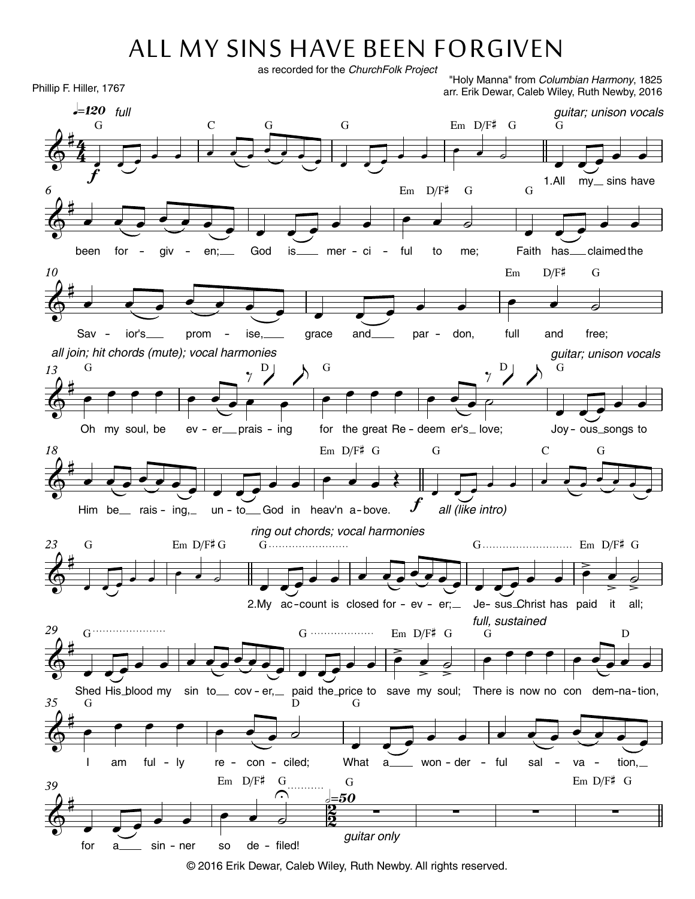## ALL MY SINS HAVE BEEN FORGIVEN

as recorded for the ChurchFolk Project

Phillip F. Hiller, 1767

"Holy Manna" from Columbian Harmony, 1825 arr. Erik Dewar, Caleb Wiley, Ruth Newby, 2016



<sup>© 2016</sup> Erik Dewar, Caleb Wiley, Ruth Newby. All rights reserved.